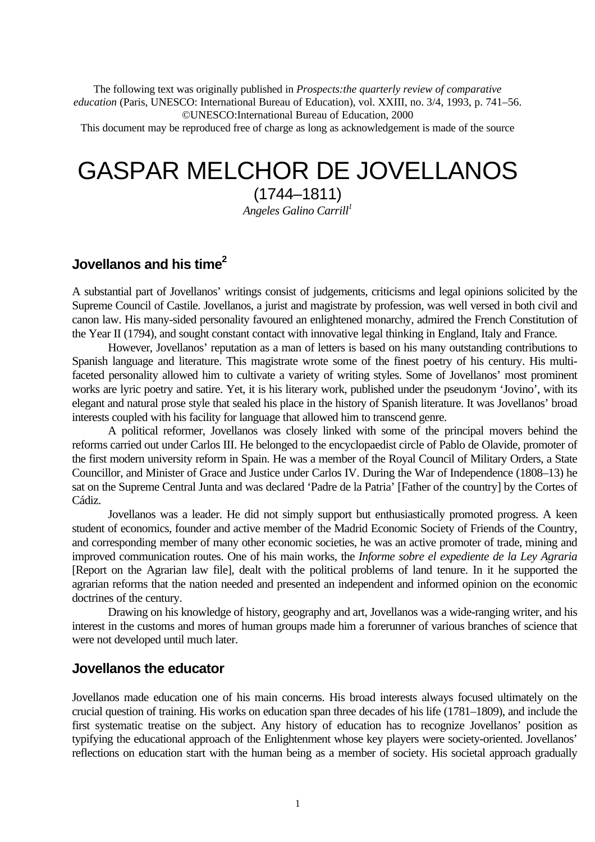The following text was originally published in *Prospects:the quarterly review of comparative education* (Paris, UNESCO: International Bureau of Education), vol. XXIII, no. 3/4, 1993, p. 741–56. ©UNESCO:International Bureau of Education, 2000

This document may be reproduced free of charge as long as acknowledgement is made of the source

# GASPAR MELCHOR DE JOVELLANOS

(1744–1811)

*Angeles Galino Carrill<sup>1</sup>*

# **Jovellanos and his time<sup>2</sup>**

A substantial part of Jovellanos' writings consist of judgements, criticisms and legal opinions solicited by the Supreme Council of Castile. Jovellanos, a jurist and magistrate by profession, was well versed in both civil and canon law. His many-sided personality favoured an enlightened monarchy, admired the French Constitution of the Year II (1794), and sought constant contact with innovative legal thinking in England, Italy and France.

However, Jovellanos' reputation as a man of letters is based on his many outstanding contributions to Spanish language and literature. This magistrate wrote some of the finest poetry of his century. His multifaceted personality allowed him to cultivate a variety of writing styles. Some of Jovellanos' most prominent works are lyric poetry and satire. Yet, it is his literary work, published under the pseudonym 'Jovino', with its elegant and natural prose style that sealed his place in the history of Spanish literature. It was Jovellanos' broad interests coupled with his facility for language that allowed him to transcend genre.

A political reformer, Jovellanos was closely linked with some of the principal movers behind the reforms carried out under Carlos III. He belonged to the encyclopaedist circle of Pablo de Olavide, promoter of the first modern university reform in Spain. He was a member of the Royal Council of Military Orders, a State Councillor, and Minister of Grace and Justice under Carlos IV. During the War of Independence (1808–13) he sat on the Supreme Central Junta and was declared 'Padre de la Patria' [Father of the country] by the Cortes of Cádiz.

Jovellanos was a leader. He did not simply support but enthusiastically promoted progress. A keen student of economics, founder and active member of the Madrid Economic Society of Friends of the Country, and corresponding member of many other economic societies, he was an active promoter of trade, mining and improved communication routes. One of his main works, the *Informe sobre el expediente de la Ley Agraria* [Report on the Agrarian law file], dealt with the political problems of land tenure. In it he supported the agrarian reforms that the nation needed and presented an independent and informed opinion on the economic doctrines of the century.

Drawing on his knowledge of history, geography and art, Jovellanos was a wide-ranging writer, and his interest in the customs and mores of human groups made him a forerunner of various branches of science that were not developed until much later.

# **Jovellanos the educator**

Jovellanos made education one of his main concerns. His broad interests always focused ultimately on the crucial question of training. His works on education span three decades of his life (1781–1809), and include the first systematic treatise on the subject. Any history of education has to recognize Jovellanos' position as typifying the educational approach of the Enlightenment whose key players were society-oriented. Jovellanos' reflections on education start with the human being as a member of society. His societal approach gradually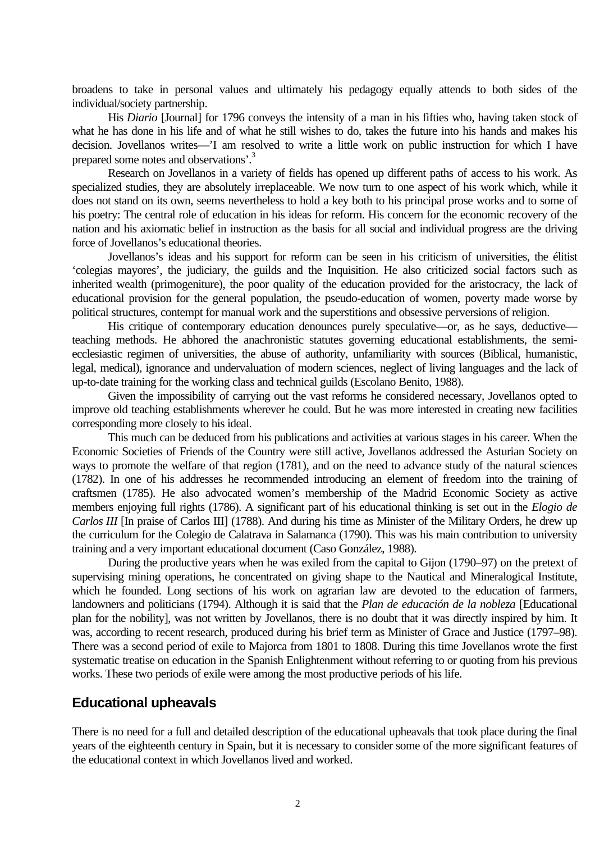broadens to take in personal values and ultimately his pedagogy equally attends to both sides of the individual/society partnership.

His *Diario* [Journal] for 1796 conveys the intensity of a man in his fifties who, having taken stock of what he has done in his life and of what he still wishes to do, takes the future into his hands and makes his decision. Jovellanos writes—'I am resolved to write a little work on public instruction for which I have prepared some notes and observations'.<sup>3</sup>

Research on Jovellanos in a variety of fields has opened up different paths of access to his work. As specialized studies, they are absolutely irreplaceable. We now turn to one aspect of his work which, while it does not stand on its own, seems nevertheless to hold a key both to his principal prose works and to some of his poetry: The central role of education in his ideas for reform. His concern for the economic recovery of the nation and his axiomatic belief in instruction as the basis for all social and individual progress are the driving force of Jovellanos's educational theories.

Jovellanos's ideas and his support for reform can be seen in his criticism of universities, the élitist 'colegias mayores', the judiciary, the guilds and the Inquisition. He also criticized social factors such as inherited wealth (primogeniture), the poor quality of the education provided for the aristocracy, the lack of educational provision for the general population, the pseudo-education of women, poverty made worse by political structures, contempt for manual work and the superstitions and obsessive perversions of religion.

His critique of contemporary education denounces purely speculative—or, as he says, deductive teaching methods. He abhored the anachronistic statutes governing educational establishments, the semiecclesiastic regimen of universities, the abuse of authority, unfamiliarity with sources (Biblical, humanistic, legal, medical), ignorance and undervaluation of modern sciences, neglect of living languages and the lack of up-to-date training for the working class and technical guilds (Escolano Benito, 1988).

Given the impossibility of carrying out the vast reforms he considered necessary, Jovellanos opted to improve old teaching establishments wherever he could. But he was more interested in creating new facilities corresponding more closely to his ideal.

This much can be deduced from his publications and activities at various stages in his career. When the Economic Societies of Friends of the Country were still active, Jovellanos addressed the Asturian Society on ways to promote the welfare of that region (1781), and on the need to advance study of the natural sciences (1782). In one of his addresses he recommended introducing an element of freedom into the training of craftsmen (1785). He also advocated women's membership of the Madrid Economic Society as active members enjoying full rights (1786). A significant part of his educational thinking is set out in the *Elogio de Carlos III* [In praise of Carlos III] (1788). And during his time as Minister of the Military Orders, he drew up the curriculum for the Colegio de Calatrava in Salamanca (1790). This was his main contribution to university training and a very important educational document (Caso González, 1988).

During the productive years when he was exiled from the capital to Gijon (1790–97) on the pretext of supervising mining operations, he concentrated on giving shape to the Nautical and Mineralogical Institute, which he founded. Long sections of his work on agrarian law are devoted to the education of farmers, landowners and politicians (1794). Although it is said that the *Plan de educación de la nobleza* [Educational plan for the nobility], was not written by Jovellanos, there is no doubt that it was directly inspired by him. It was, according to recent research, produced during his brief term as Minister of Grace and Justice (1797–98). There was a second period of exile to Majorca from 1801 to 1808. During this time Jovellanos wrote the first systematic treatise on education in the Spanish Enlightenment without referring to or quoting from his previous works. These two periods of exile were among the most productive periods of his life.

# **Educational upheavals**

There is no need for a full and detailed description of the educational upheavals that took place during the final years of the eighteenth century in Spain, but it is necessary to consider some of the more significant features of the educational context in which Jovellanos lived and worked.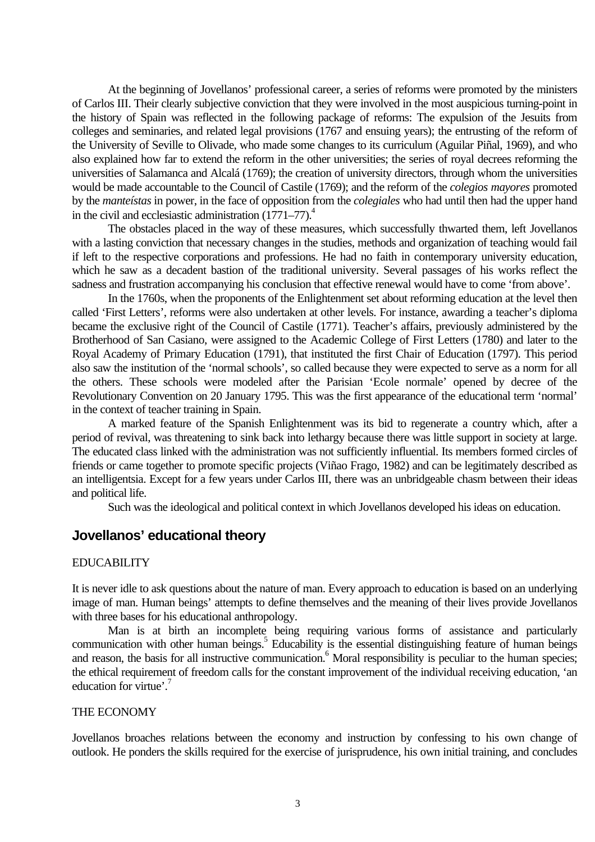At the beginning of Jovellanos' professional career, a series of reforms were promoted by the ministers of Carlos III. Their clearly subjective conviction that they were involved in the most auspicious turning-point in the history of Spain was reflected in the following package of reforms: The expulsion of the Jesuits from colleges and seminaries, and related legal provisions (1767 and ensuing years); the entrusting of the reform of the University of Seville to Olivade, who made some changes to its curriculum (Aguilar Piñal, 1969), and who also explained how far to extend the reform in the other universities; the series of royal decrees reforming the universities of Salamanca and Alcalá (1769); the creation of university directors, through whom the universities would be made accountable to the Council of Castile (1769); and the reform of the *colegios mayores* promoted by the *manteístas* in power, in the face of opposition from the *colegiales* who had until then had the upper hand in the civil and ecclesiastic administration  $(1771-77)^4$ .

The obstacles placed in the way of these measures, which successfully thwarted them, left Jovellanos with a lasting conviction that necessary changes in the studies, methods and organization of teaching would fail if left to the respective corporations and professions. He had no faith in contemporary university education, which he saw as a decadent bastion of the traditional university. Several passages of his works reflect the sadness and frustration accompanying his conclusion that effective renewal would have to come 'from above'.

In the 1760s, when the proponents of the Enlightenment set about reforming education at the level then called 'First Letters', reforms were also undertaken at other levels. For instance, awarding a teacher's diploma became the exclusive right of the Council of Castile (1771). Teacher's affairs, previously administered by the Brotherhood of San Casiano, were assigned to the Academic College of First Letters (1780) and later to the Royal Academy of Primary Education (1791), that instituted the first Chair of Education (1797). This period also saw the institution of the 'normal schools', so called because they were expected to serve as a norm for all the others. These schools were modeled after the Parisian 'Ecole normale' opened by decree of the Revolutionary Convention on 20 January 1795. This was the first appearance of the educational term 'normal' in the context of teacher training in Spain.

A marked feature of the Spanish Enlightenment was its bid to regenerate a country which, after a period of revival, was threatening to sink back into lethargy because there was little support in society at large. The educated class linked with the administration was not sufficiently influential. Its members formed circles of friends or came together to promote specific projects (Viñao Frago, 1982) and can be legitimately described as an intelligentsia. Except for a few years under Carlos III, there was an unbridgeable chasm between their ideas and political life.

Such was the ideological and political context in which Jovellanos developed his ideas on education.

# **Jovellanos' educational theory**

# EDUCABILITY

It is never idle to ask questions about the nature of man. Every approach to education is based on an underlying image of man. Human beings' attempts to define themselves and the meaning of their lives provide Jovellanos with three bases for his educational anthropology.

Man is at birth an incomplete being requiring various forms of assistance and particularly communication with other human beings.<sup>5</sup> Educability is the essential distinguishing feature of human beings and reason, the basis for all instructive communication.<sup>6</sup> Moral responsibility is peculiar to the human species; the ethical requirement of freedom calls for the constant improvement of the individual receiving education, 'an education for virtue'.<sup>7</sup>

### THE ECONOMY

Jovellanos broaches relations between the economy and instruction by confessing to his own change of outlook. He ponders the skills required for the exercise of jurisprudence, his own initial training, and concludes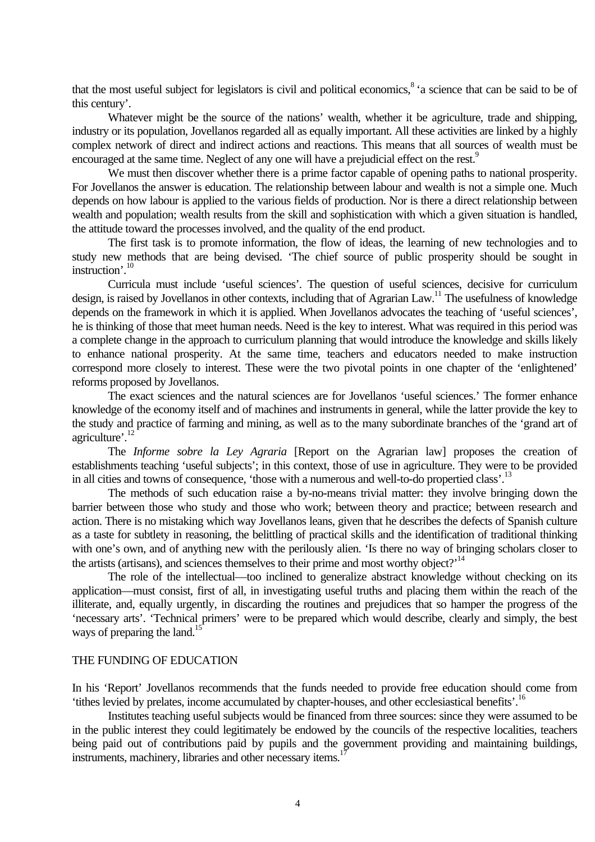that the most useful subject for legislators is civil and political economics, 8 'a science that can be said to be of this century'.

Whatever might be the source of the nations' wealth, whether it be agriculture, trade and shipping, industry or its population, Jovellanos regarded all as equally important. All these activities are linked by a highly complex network of direct and indirect actions and reactions. This means that all sources of wealth must be encouraged at the same time. Neglect of any one will have a prejudicial effect on the rest.<sup>9</sup>

We must then discover whether there is a prime factor capable of opening paths to national prosperity. For Jovellanos the answer is education. The relationship between labour and wealth is not a simple one. Much depends on how labour is applied to the various fields of production. Nor is there a direct relationship between wealth and population; wealth results from the skill and sophistication with which a given situation is handled, the attitude toward the processes involved, and the quality of the end product.

The first task is to promote information, the flow of ideas, the learning of new technologies and to study new methods that are being devised. 'The chief source of public prosperity should be sought in instruction'. 10

Curricula must include 'useful sciences'. The question of useful sciences, decisive for curriculum design, is raised by Jovellanos in other contexts, including that of Agrarian Law.<sup>11</sup> The usefulness of knowledge depends on the framework in which it is applied. When Jovellanos advocates the teaching of 'useful sciences', he is thinking of those that meet human needs. Need is the key to interest. What was required in this period was a complete change in the approach to curriculum planning that would introduce the knowledge and skills likely to enhance national prosperity. At the same time, teachers and educators needed to make instruction correspond more closely to interest. These were the two pivotal points in one chapter of the 'enlightened' reforms proposed by Jovellanos.

The exact sciences and the natural sciences are for Jovellanos 'useful sciences.' The former enhance knowledge of the economy itself and of machines and instruments in general, while the latter provide the key to the study and practice of farming and mining, as well as to the many subordinate branches of the 'grand art of agriculture'.<sup>12</sup>

The *Informe sobre la Ley Agraria* [Report on the Agrarian law] proposes the creation of establishments teaching 'useful subjects'; in this context, those of use in agriculture. They were to be provided in all cities and towns of consequence, 'those with a numerous and well-to-do propertied class'.<sup>13</sup>

The methods of such education raise a by-no-means trivial matter: they involve bringing down the barrier between those who study and those who work; between theory and practice; between research and action. There is no mistaking which way Jovellanos leans, given that he describes the defects of Spanish culture as a taste for subtlety in reasoning, the belittling of practical skills and the identification of traditional thinking with one's own, and of anything new with the perilously alien. 'Is there no way of bringing scholars closer to the artists (artisans), and sciences themselves to their prime and most worthy object?<sup> $14$ </sup>

The role of the intellectual—too inclined to generalize abstract knowledge without checking on its application—must consist, first of all, in investigating useful truths and placing them within the reach of the illiterate, and, equally urgently, in discarding the routines and prejudices that so hamper the progress of the 'necessary arts'. 'Technical primers' were to be prepared which would describe, clearly and simply, the best ways of preparing the land.<sup>15</sup>

### THE FUNDING OF EDUCATION

In his 'Report' Jovellanos recommends that the funds needed to provide free education should come from 'tithes levied by prelates, income accumulated by chapter-houses, and other ecclesiastical benefits'.<sup>16</sup>

Institutes teaching useful subjects would be financed from three sources: since they were assumed to be in the public interest they could legitimately be endowed by the councils of the respective localities, teachers being paid out of contributions paid by pupils and the government providing and maintaining buildings, instruments, machinery, libraries and other necessary items.<sup>1</sup>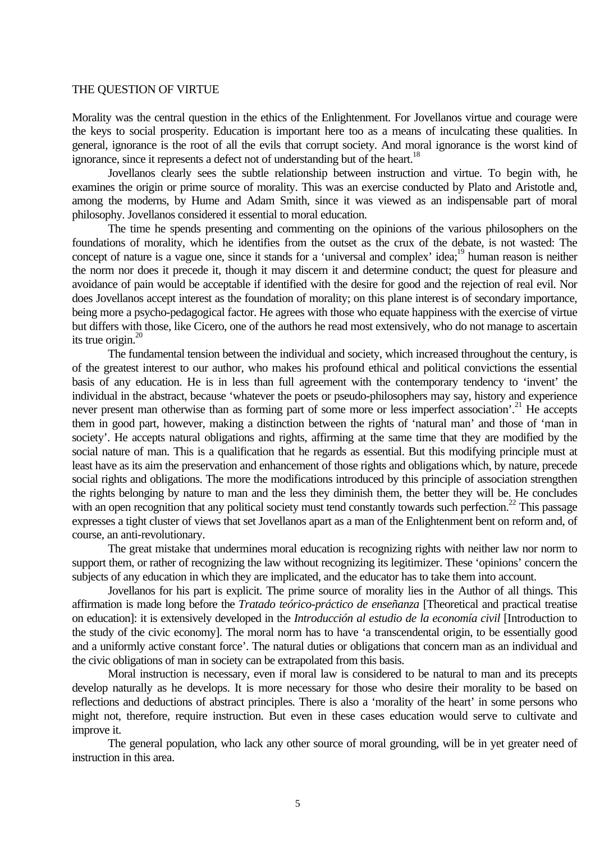#### THE QUESTION OF VIRTUE

Morality was the central question in the ethics of the Enlightenment. For Jovellanos virtue and courage were the keys to social prosperity. Education is important here too as a means of inculcating these qualities. In general, ignorance is the root of all the evils that corrupt society. And moral ignorance is the worst kind of ignorance, since it represents a defect not of understanding but of the heart.<sup>18</sup>

Jovellanos clearly sees the subtle relationship between instruction and virtue. To begin with, he examines the origin or prime source of morality. This was an exercise conducted by Plato and Aristotle and, among the moderns, by Hume and Adam Smith, since it was viewed as an indispensable part of moral philosophy. Jovellanos considered it essential to moral education.

The time he spends presenting and commenting on the opinions of the various philosophers on the foundations of morality, which he identifies from the outset as the crux of the debate, is not wasted: The concept of nature is a vague one, since it stands for a 'universal and complex' idea;<sup>19</sup> human reason is neither the norm nor does it precede it, though it may discern it and determine conduct; the quest for pleasure and avoidance of pain would be acceptable if identified with the desire for good and the rejection of real evil. Nor does Jovellanos accept interest as the foundation of morality; on this plane interest is of secondary importance, being more a psycho-pedagogical factor. He agrees with those who equate happiness with the exercise of virtue but differs with those, like Cicero, one of the authors he read most extensively, who do not manage to ascertain its true origin. $^{20}$ 

The fundamental tension between the individual and society, which increased throughout the century, is of the greatest interest to our author, who makes his profound ethical and political convictions the essential basis of any education. He is in less than full agreement with the contemporary tendency to 'invent' the individual in the abstract, because 'whatever the poets or pseudo-philosophers may say, history and experience never present man otherwise than as forming part of some more or less imperfect association'.<sup>21</sup> He accepts them in good part, however, making a distinction between the rights of 'natural man' and those of 'man in society'. He accepts natural obligations and rights, affirming at the same time that they are modified by the social nature of man. This is a qualification that he regards as essential. But this modifying principle must at least have as its aim the preservation and enhancement of those rights and obligations which, by nature, precede social rights and obligations. The more the modifications introduced by this principle of association strengthen the rights belonging by nature to man and the less they diminish them, the better they will be. He concludes with an open recognition that any political society must tend constantly towards such perfection.<sup>22</sup> This passage expresses a tight cluster of views that set Jovellanos apart as a man of the Enlightenment bent on reform and, of course, an anti-revolutionary.

The great mistake that undermines moral education is recognizing rights with neither law nor norm to support them, or rather of recognizing the law without recognizing its legitimizer. These 'opinions' concern the subjects of any education in which they are implicated, and the educator has to take them into account.

Jovellanos for his part is explicit. The prime source of morality lies in the Author of all things. This affirmation is made long before the *Tratado teórico-práctico de enseñanza* [Theoretical and practical treatise on education]: it is extensively developed in the *Introducción al estudio de la economía civil* [Introduction to the study of the civic economy]. The moral norm has to have 'a transcendental origin, to be essentially good and a uniformly active constant force'. The natural duties or obligations that concern man as an individual and the civic obligations of man in society can be extrapolated from this basis.

Moral instruction is necessary, even if moral law is considered to be natural to man and its precepts develop naturally as he develops. It is more necessary for those who desire their morality to be based on reflections and deductions of abstract principles. There is also a 'morality of the heart' in some persons who might not, therefore, require instruction. But even in these cases education would serve to cultivate and improve it.

The general population, who lack any other source of moral grounding, will be in yet greater need of instruction in this area.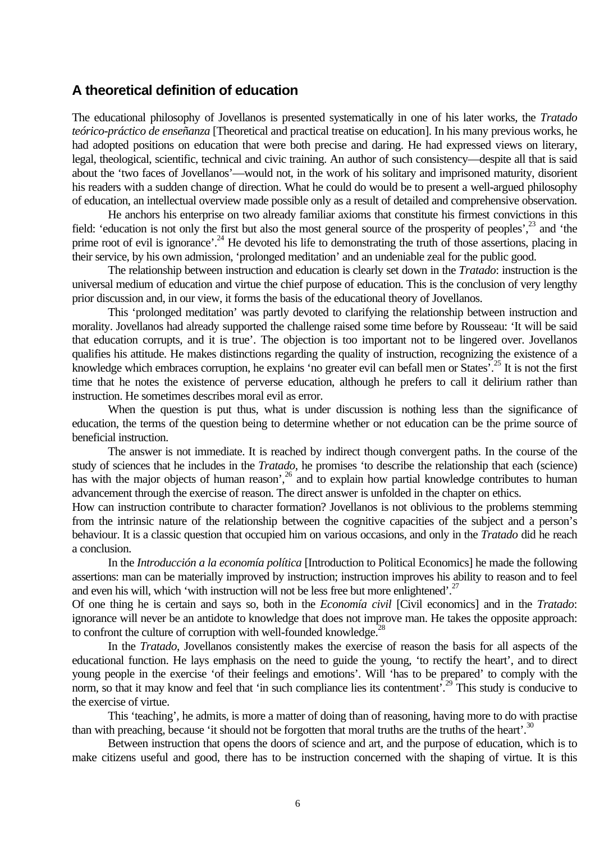# **A theoretical definition of education**

The educational philosophy of Jovellanos is presented systematically in one of his later works, the *Tratado teórico-práctico de enseñanza* [Theoretical and practical treatise on education]. In his many previous works, he had adopted positions on education that were both precise and daring. He had expressed views on literary, legal, theological, scientific, technical and civic training. An author of such consistency—despite all that is said about the 'two faces of Jovellanos'—would not, in the work of his solitary and imprisoned maturity, disorient his readers with a sudden change of direction. What he could do would be to present a well-argued philosophy of education, an intellectual overview made possible only as a result of detailed and comprehensive observation.

He anchors his enterprise on two already familiar axioms that constitute his firmest convictions in this field: 'education is not only the first but also the most general source of the prosperity of peoples',<sup>23</sup> and 'the prime root of evil is ignorance'.<sup>24</sup> He devoted his life to demonstrating the truth of those assertions, placing in their service, by his own admission, 'prolonged meditation' and an undeniable zeal for the public good.

The relationship between instruction and education is clearly set down in the *Tratado*: instruction is the universal medium of education and virtue the chief purpose of education. This is the conclusion of very lengthy prior discussion and, in our view, it forms the basis of the educational theory of Jovellanos.

This 'prolonged meditation' was partly devoted to clarifying the relationship between instruction and morality. Jovellanos had already supported the challenge raised some time before by Rousseau: 'It will be said that education corrupts, and it is true'. The objection is too important not to be lingered over. Jovellanos qualifies his attitude. He makes distinctions regarding the quality of instruction, recognizing the existence of a knowledge which embraces corruption, he explains 'no greater evil can befall men or States'.<sup>25</sup> It is not the first time that he notes the existence of perverse education, although he prefers to call it delirium rather than instruction. He sometimes describes moral evil as error.

When the question is put thus, what is under discussion is nothing less than the significance of education, the terms of the question being to determine whether or not education can be the prime source of beneficial instruction.

The answer is not immediate. It is reached by indirect though convergent paths. In the course of the study of sciences that he includes in the *Tratado*, he promises 'to describe the relationship that each (science) has with the major objects of human reason<sup>', 26</sup> and to explain how partial knowledge contributes to human advancement through the exercise of reason. The direct answer is unfolded in the chapter on ethics.

How can instruction contribute to character formation? Jovellanos is not oblivious to the problems stemming from the intrinsic nature of the relationship between the cognitive capacities of the subject and a person's behaviour. It is a classic question that occupied him on various occasions, and only in the *Tratado* did he reach a conclusion.

In the *Introducción a la economía política* [Introduction to Political Economics] he made the following assertions: man can be materially improved by instruction; instruction improves his ability to reason and to feel and even his will, which 'with instruction will not be less free but more enlightened'.<sup>27</sup>

Of one thing he is certain and says so, both in the *Economía civil* [Civil economics] and in the *Tratado*: ignorance will never be an antidote to knowledge that does not improve man. He takes the opposite approach: to confront the culture of corruption with well-founded knowledge.<sup>28</sup>

In the *Tratado*, Jovellanos consistently makes the exercise of reason the basis for all aspects of the educational function. He lays emphasis on the need to guide the young, 'to rectify the heart', and to direct young people in the exercise 'of their feelings and emotions'. Will 'has to be prepared' to comply with the norm, so that it may know and feel that 'in such compliance lies its contentment'.<sup>29</sup> This study is conducive to the exercise of virtue.

This 'teaching', he admits, is more a matter of doing than of reasoning, having more to do with practise than with preaching, because 'it should not be forgotten that moral truths are the truths of the heart'.<sup>30</sup>

Between instruction that opens the doors of science and art, and the purpose of education, which is to make citizens useful and good, there has to be instruction concerned with the shaping of virtue. It is this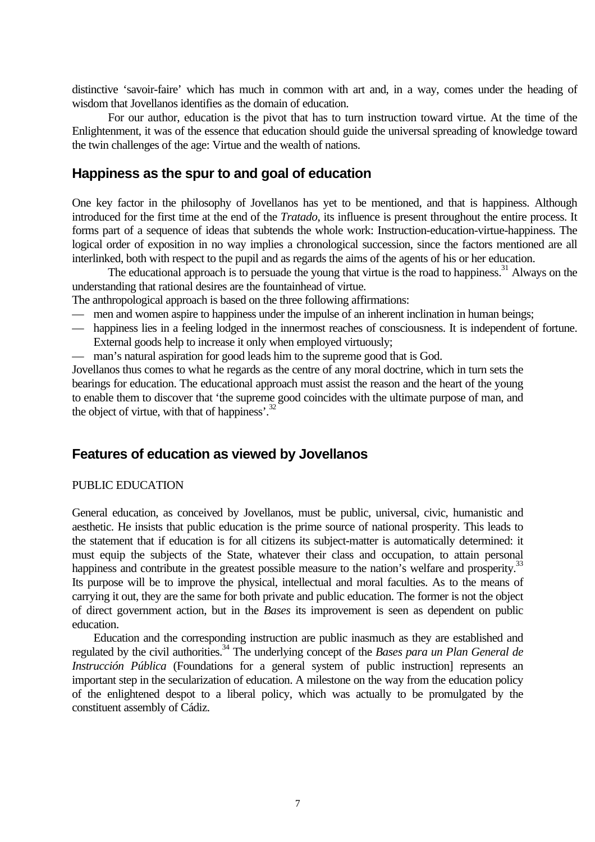distinctive 'savoir-faire' which has much in common with art and, in a way, comes under the heading of wisdom that Jovellanos identifies as the domain of education.

For our author, education is the pivot that has to turn instruction toward virtue. At the time of the Enlightenment, it was of the essence that education should guide the universal spreading of knowledge toward the twin challenges of the age: Virtue and the wealth of nations.

# **Happiness as the spur to and goal of education**

One key factor in the philosophy of Jovellanos has yet to be mentioned, and that is happiness. Although introduced for the first time at the end of the *Tratado*, its influence is present throughout the entire process. It forms part of a sequence of ideas that subtends the whole work: Instruction-education-virtue-happiness. The logical order of exposition in no way implies a chronological succession, since the factors mentioned are all interlinked, both with respect to the pupil and as regards the aims of the agents of his or her education.

The educational approach is to persuade the young that virtue is the road to happiness.<sup>31</sup> Always on the understanding that rational desires are the fountainhead of virtue.

The anthropological approach is based on the three following affirmations:

- men and women aspire to happiness under the impulse of an inherent inclination in human beings;
- happiness lies in a feeling lodged in the innermost reaches of consciousness. It is independent of fortune. External goods help to increase it only when employed virtuously;
- man's natural aspiration for good leads him to the supreme good that is God.

Jovellanos thus comes to what he regards as the centre of any moral doctrine, which in turn sets the bearings for education. The educational approach must assist the reason and the heart of the young to enable them to discover that 'the supreme good coincides with the ultimate purpose of man, and the object of virtue, with that of happiness'. $^{32}$ 

# **Features of education as viewed by Jovellanos**

# PUBLIC EDUCATION

General education, as conceived by Jovellanos, must be public, universal, civic, humanistic and aesthetic. He insists that public education is the prime source of national prosperity. This leads to the statement that if education is for all citizens its subject-matter is automatically determined: it must equip the subjects of the State, whatever their class and occupation, to attain personal happiness and contribute in the greatest possible measure to the nation's welfare and prosperity.<sup>33</sup> Its purpose will be to improve the physical, intellectual and moral faculties. As to the means of carrying it out, they are the same for both private and public education. The former is not the object of direct government action, but in the *Bases* its improvement is seen as dependent on public education.

Education and the corresponding instruction are public inasmuch as they are established and regulated by the civil authorities.<sup>34</sup> The underlying concept of the *Bases para un Plan General de Instrucción Pública* (Foundations for a general system of public instruction) represents an important step in the secularization of education. A milestone on the way from the education policy of the enlightened despot to a liberal policy, which was actually to be promulgated by the constituent assembly of Cádiz.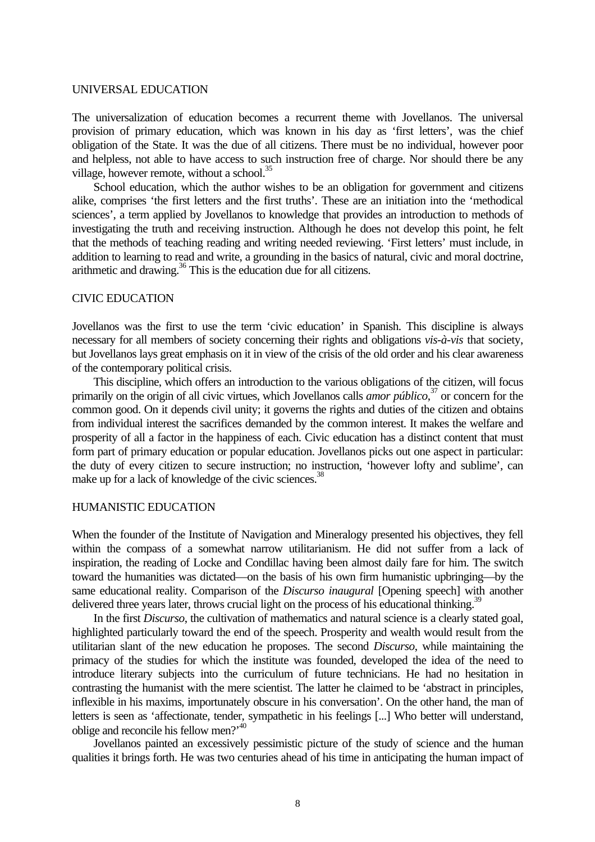#### UNIVERSAL EDUCATION

The universalization of education becomes a recurrent theme with Jovellanos. The universal provision of primary education, which was known in his day as 'first letters', was the chief obligation of the State. It was the due of all citizens. There must be no individual, however poor and helpless, not able to have access to such instruction free of charge. Nor should there be any village, however remote, without a school. $^{35}$ 

School education, which the author wishes to be an obligation for government and citizens alike, comprises 'the first letters and the first truths'. These are an initiation into the 'methodical sciences', a term applied by Jovellanos to knowledge that provides an introduction to methods of investigating the truth and receiving instruction. Although he does not develop this point, he felt that the methods of teaching reading and writing needed reviewing. 'First letters' must include, in addition to learning to read and write, a grounding in the basics of natural, civic and moral doctrine, arithmetic and drawing. $36$  This is the education due for all citizens.

#### CIVIC EDUCATION

Jovellanos was the first to use the term 'civic education' in Spanish. This discipline is always necessary for all members of society concerning their rights and obligations *vis-à-vis* that society, but Jovellanos lays great emphasis on it in view of the crisis of the old order and his clear awareness of the contemporary political crisis.

This discipline, which offers an introduction to the various obligations of the citizen, will focus primarily on the origin of all civic virtues, which Jovellanos calls *amor público*, <sup>37</sup> or concern for the common good. On it depends civil unity; it governs the rights and duties of the citizen and obtains from individual interest the sacrifices demanded by the common interest. It makes the welfare and prosperity of all a factor in the happiness of each. Civic education has a distinct content that must form part of primary education or popular education. Jovellanos picks out one aspect in particular: the duty of every citizen to secure instruction; no instruction, 'however lofty and sublime', can make up for a lack of knowledge of the civic sciences.<sup>38</sup>

#### HUMANISTIC EDUCATION

When the founder of the Institute of Navigation and Mineralogy presented his objectives, they fell within the compass of a somewhat narrow utilitarianism. He did not suffer from a lack of inspiration, the reading of Locke and Condillac having been almost daily fare for him. The switch toward the humanities was dictated—on the basis of his own firm humanistic upbringing—by the same educational reality. Comparison of the *Discurso inaugural* [Opening speech] with another delivered three years later, throws crucial light on the process of his educational thinking.<sup>3</sup>

In the first *Discurso*, the cultivation of mathematics and natural science is a clearly stated goal, highlighted particularly toward the end of the speech. Prosperity and wealth would result from the utilitarian slant of the new education he proposes. The second *Discurso*, while maintaining the primacy of the studies for which the institute was founded, developed the idea of the need to introduce literary subjects into the curriculum of future technicians. He had no hesitation in contrasting the humanist with the mere scientist. The latter he claimed to be 'abstract in principles, inflexible in his maxims, importunately obscure in his conversation'. On the other hand, the man of letters is seen as 'affectionate, tender, sympathetic in his feelings [...] Who better will understand, oblige and reconcile his fellow men?'<sup>40</sup>

Jovellanos painted an excessively pessimistic picture of the study of science and the human qualities it brings forth. He was two centuries ahead of his time in anticipating the human impact of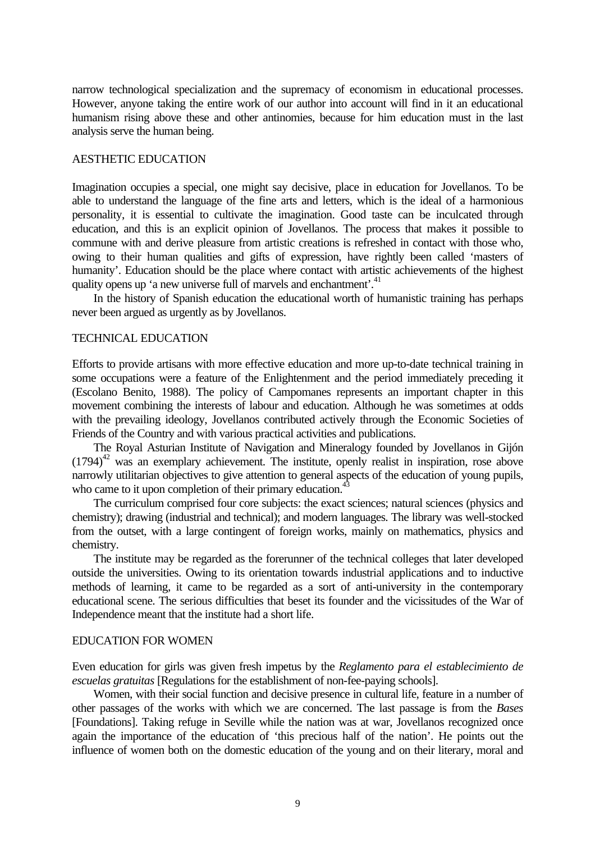narrow technological specialization and the supremacy of economism in educational processes. However, anyone taking the entire work of our author into account will find in it an educational humanism rising above these and other antinomies, because for him education must in the last analysis serve the human being.

# AESTHETIC EDUCATION

Imagination occupies a special, one might say decisive, place in education for Jovellanos. To be able to understand the language of the fine arts and letters, which is the ideal of a harmonious personality, it is essential to cultivate the imagination. Good taste can be inculcated through education, and this is an explicit opinion of Jovellanos. The process that makes it possible to commune with and derive pleasure from artistic creations is refreshed in contact with those who, owing to their human qualities and gifts of expression, have rightly been called 'masters of humanity'. Education should be the place where contact with artistic achievements of the highest quality opens up 'a new universe full of marvels and enchantment'.<sup>41</sup>

In the history of Spanish education the educational worth of humanistic training has perhaps never been argued as urgently as by Jovellanos.

# TECHNICAL EDUCATION

Efforts to provide artisans with more effective education and more up-to-date technical training in some occupations were a feature of the Enlightenment and the period immediately preceding it (Escolano Benito, 1988). The policy of Campomanes represents an important chapter in this movement combining the interests of labour and education. Although he was sometimes at odds with the prevailing ideology, Jovellanos contributed actively through the Economic Societies of Friends of the Country and with various practical activities and publications.

The Royal Asturian Institute of Navigation and Mineralogy founded by Jovellanos in Gijón (1794)<sup>42</sup> was an exemplary achievement. The institute, openly realist in inspiration, rose above narrowly utilitarian objectives to give attention to general aspects of the education of young pupils, who came to it upon completion of their primary education.<sup>43</sup>

The curriculum comprised four core subjects: the exact sciences; natural sciences (physics and chemistry); drawing (industrial and technical); and modern languages. The library was well-stocked from the outset, with a large contingent of foreign works, mainly on mathematics, physics and chemistry.

The institute may be regarded as the forerunner of the technical colleges that later developed outside the universities. Owing to its orientation towards industrial applications and to inductive methods of learning, it came to be regarded as a sort of anti-university in the contemporary educational scene. The serious difficulties that beset its founder and the vicissitudes of the War of Independence meant that the institute had a short life.

#### EDUCATION FOR WOMEN

Even education for girls was given fresh impetus by the *Reglamento para el establecimiento de escuelas gratuitas* [Regulations for the establishment of non-fee-paying schools].

Women, with their social function and decisive presence in cultural life, feature in a number of other passages of the works with which we are concerned. The last passage is from the *Bases* [Foundations]. Taking refuge in Seville while the nation was at war, Jovellanos recognized once again the importance of the education of 'this precious half of the nation'. He points out the influence of women both on the domestic education of the young and on their literary, moral and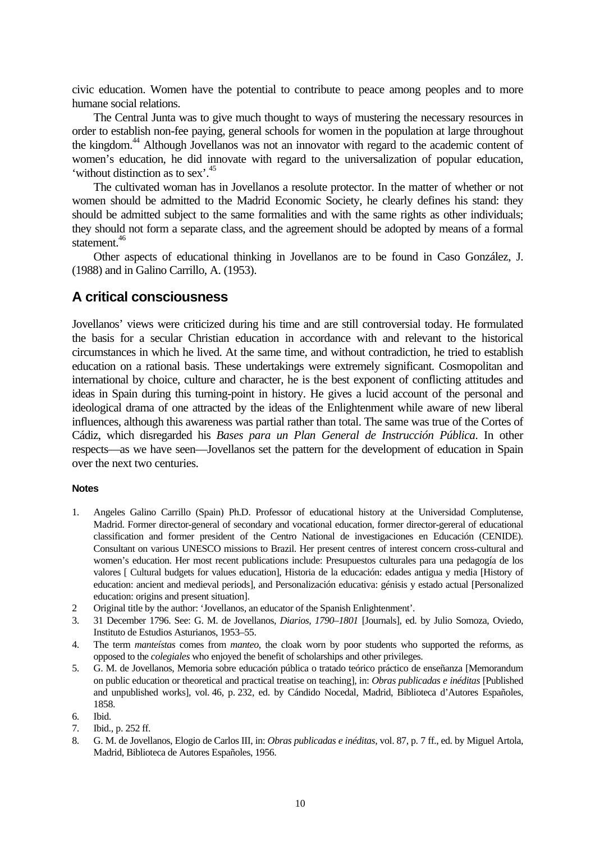civic education. Women have the potential to contribute to peace among peoples and to more humane social relations.

The Central Junta was to give much thought to ways of mustering the necessary resources in order to establish non-fee paying, general schools for women in the population at large throughout the kingdom.<sup>44</sup> Although Jovellanos was not an innovator with regard to the academic content of women's education, he did innovate with regard to the universalization of popular education, 'without distinction as to sex'. 45

The cultivated woman has in Jovellanos a resolute protector. In the matter of whether or not women should be admitted to the Madrid Economic Society, he clearly defines his stand: they should be admitted subject to the same formalities and with the same rights as other individuals; they should not form a separate class, and the agreement should be adopted by means of a formal statement.<sup>46</sup>

Other aspects of educational thinking in Jovellanos are to be found in Caso González, J. (1988) and in Galino Carrillo, A. (1953).

# **A critical consciousness**

Jovellanos' views were criticized during his time and are still controversial today. He formulated the basis for a secular Christian education in accordance with and relevant to the historical circumstances in which he lived. At the same time, and without contradiction, he tried to establish education on a rational basis. These undertakings were extremely significant. Cosmopolitan and international by choice, culture and character, he is the best exponent of conflicting attitudes and ideas in Spain during this turning-point in history. He gives a lucid account of the personal and ideological drama of one attracted by the ideas of the Enlightenment while aware of new liberal influences, although this awareness was partial rather than total. The same was true of the Cortes of Cádiz, which disregarded his *Bases para un Plan General de Instrucción Pública*. In other respects—as we have seen—Jovellanos set the pattern for the development of education in Spain over the next two centuries.

#### **Notes**

- 1. Angeles Galino Carrillo (Spain) Ph.D. Professor of educational history at the Universidad Complutense, Madrid. Former director-general of secondary and vocational education, former director-gereral of educational classification and former president of the Centro National de investigaciones en Educación (CENIDE). Consultant on various UNESCO missions to Brazil. Her present centres of interest concern cross-cultural and women's education. Her most recent publications include: Presupuestos culturales para una pedagogía de los valores [ Cultural budgets for values education], Historia de la educación: edades antigua y media [History of education: ancient and medieval periods], and Personalización educativa: génisis y estado actual [Personalized education: origins and present situation].
- 2 Original title by the author: 'Jovellanos, an educator of the Spanish Enlightenment'.
- 3. 31 December 1796. See: G. M. de Jovellanos, *Diarios, 1790–1801* [Journals], ed. by Julio Somoza, Oviedo, Instituto de Estudios Asturianos, 1953–55.
- 4. The term *manteístas* comes from *manteo*, the cloak worn by poor students who supported the reforms, as opposed to the *colegiales* who enjoyed the benefit of scholarships and other privileges.
- 5. G. M. de Jovellanos, Memoria sobre educación pública o tratado teórico práctico de enseñanza [Memorandum on public education or theoretical and practical treatise on teaching], in: *Obras publicadas e inéditas* [Published and unpublished works], vol. 46, p. 232, ed. by Cándido Nocedal, Madrid, Biblioteca d'Autores Españoles, 1858.
- 6. Ibid.
- 7. Ibid., p. 252 ff.
- 8. G. M. de Jovellanos, Elogio de Carlos III, in: *Obras publicadas e inéditas*, vol. 87, p. 7 ff., ed. by Miguel Artola, Madrid, Biblioteca de Autores Españoles, 1956.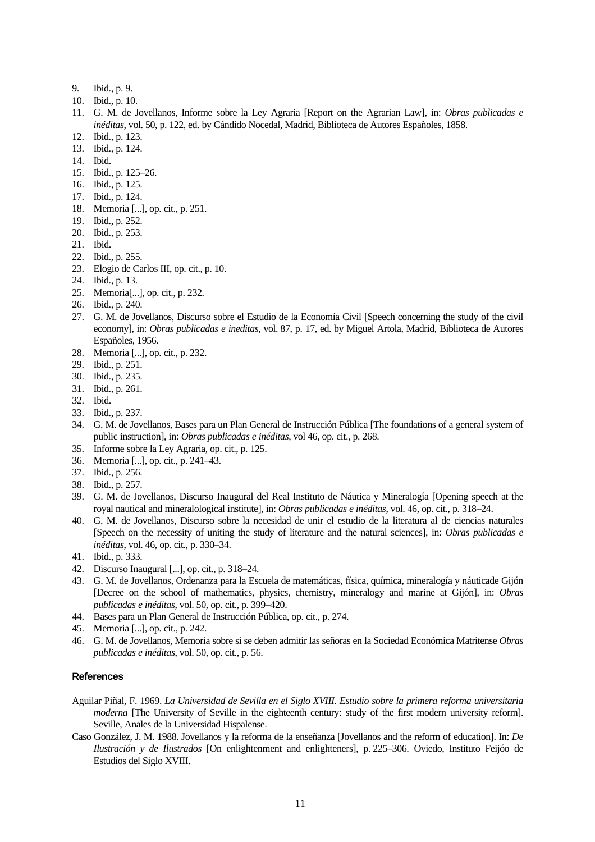- 9. Ibid., p. 9.
- 10. Ibid., p. 10.
- 11. G. M. de Jovellanos, Informe sobre la Ley Agraria [Report on the Agrarian Law], in: *Obras publicadas e inéditas*, vol. 50, p. 122, ed. by Cándido Nocedal, Madrid, Biblioteca de Autores Españoles, 1858.
- 12. Ibid., p. 123.
- 13. Ibid., p. 124.
- 14. Ibid.
- 15. Ibid., p. 125–26.
- 16. Ibid., p. 125.
- 17. Ibid., p. 124.
- 18. Memoria [...], op. cit., p. 251.
- 19. Ibid., p. 252.
- 20. Ibid., p. 253.
- 21. Ibid.
- 22. Ibid., p. 255.
- 23. Elogio de Carlos III, op. cit., p. 10.
- 24. Ibid., p. 13.
- 25. Memoria[...], op. cit., p. 232.
- 26. Ibid., p. 240.
- 27. G. M. de Jovellanos, Discurso sobre el Estudio de la Economía Civil [Speech concerning the study of the civil economy], in: *Obras publicadas e ineditas*, vol. 87, p. 17, ed. by Miguel Artola, Madrid, Biblioteca de Autores Españoles, 1956.
- 28. Memoria [...], op. cit., p. 232.
- 29. Ibid., p. 251.
- 30. Ibid., p. 235.
- 31. Ibid., p. 261.
- 32. Ibid.
- 33. Ibid., p. 237.
- 34. G. M. de Jovellanos, Bases para un Plan General de Instrucción Pública [The foundations of a general system of public instruction], in: *Obras publicadas e inéditas*, vol 46, op. cit., p. 268.
- 35. Informe sobre la Ley Agraria, op. cit., p. 125.
- 36. Memoria [...], op. cit., p. 241–43.
- 37. Ibid., p. 256.
- 38. Ibid., p. 257.
- 39. G. M. de Jovellanos, Discurso Inaugural del Real Instituto de Náutica y Mineralogía [Opening speech at the royal nautical and mineralological institute], in: *Obras publicadas e inéditas*, vol. 46, op. cit., p. 318–24.
- 40. G. M. de Jovellanos, Discurso sobre la necesidad de unir el estudio de la literatura al de ciencias naturales [Speech on the necessity of uniting the study of literature and the natural sciences], in: *Obras publicadas e inéditas*, vol. 46, op. cit., p. 330–34.
- 41. Ibid., p. 333.
- 42. Discurso Inaugural [...], op. cit., p. 318–24.
- 43. G. M. de Jovellanos, Ordenanza para la Escuela de matemáticas, física, química, mineralogía y náuticade Gijón [Decree on the school of mathematics, physics, chemistry, mineralogy and marine at Gijón], in: *Obras publicadas e inéditas*, vol. 50, op. cit., p. 399–420.
- 44. Bases para un Plan General de Instrucción Pública, op. cit., p. 274.
- 45. Memoria [...], op. cit., p. 242.
- 46. G. M. de Jovellanos, Memoria sobre si se deben admitir las señoras en la Sociedad Económica Matritense *Obras publicadas e inéditas*, vol. 50, op. cit., p. 56.

#### **References**

- Aguilar Piñal, F. 1969. *La Universidad de Sevilla en el Siglo XVIII. Estudio sobre la primera reforma universitaria moderna* [The University of Seville in the eighteenth century: study of the first modern university reform]. Seville, Anales de la Universidad Hispalense.
- Caso González, J. M. 1988. Jovellanos y la reforma de la enseñanza [Jovellanos and the reform of education]. In: *De Ilustración y de Ilustrados* [On enlightenment and enlighteners], p. 225–306. Oviedo, Instituto Feijóo de Estudios del Siglo XVIII.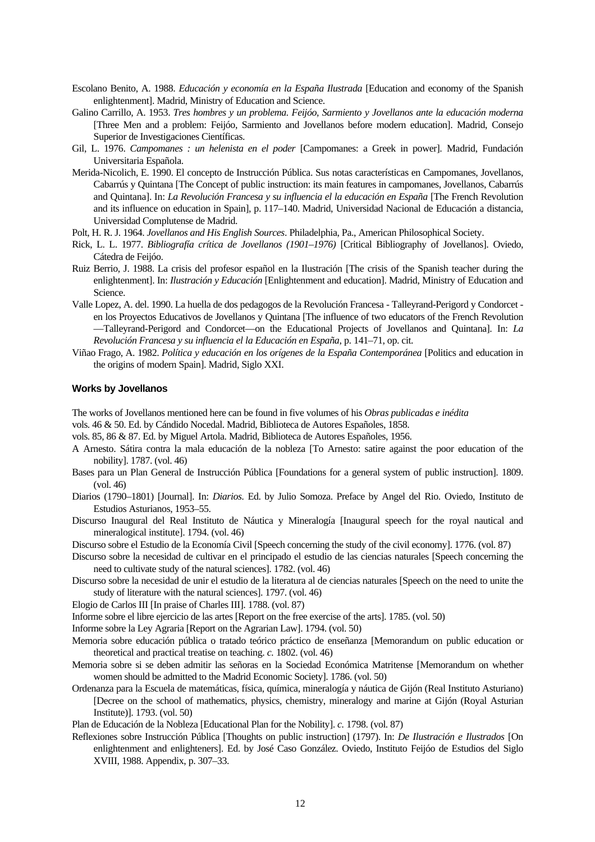- Escolano Benito, A. 1988. *Educación y economía en la España Ilustrada* [Education and economy of the Spanish enlightenment]. Madrid, Ministry of Education and Science.
- Galino Carrillo, A. 1953. *Tres hombres y un problema. Feijóo, Sarmiento y Jovellanos ante la educación moderna* [Three Men and a problem: Feijóo, Sarmiento and Jovellanos before modern education]. Madrid, Consejo Superior de Investigaciones Científicas.
- Gil, L. 1976. *Campomanes : un helenista en el poder* [Campomanes: a Greek in power]. Madrid, Fundación Universitaria Española.
- Merida-Nicolich, E. 1990. El concepto de Instrucción Pública. Sus notas características en Campomanes, Jovellanos, Cabarrús y Quintana [The Concept of public instruction: its main features in campomanes, Jovellanos, Cabarrús and Quintana]. In: *La Revolución Francesa y su influencia el la educación en España* [The French Revolution and its influence on education in Spain], p. 117–140. Madrid, Universidad Nacional de Educación a distancia, Universidad Complutense de Madrid.
- Polt, H. R. J. 1964. *Jovellanos and His English Sources*. Philadelphia, Pa., American Philosophical Society.
- Rick, L. L. 1977. *Bibliografía crítica de Jovellanos (1901–1976)* [Critical Bibliography of Jovellanos]. Oviedo, Cátedra de Feijóo.
- Ruiz Berrio, J. 1988. La crisis del profesor español en la Ilustración [The crisis of the Spanish teacher during the enlightenment]. In: *Ilustración y Educación* [Enlightenment and education]. Madrid, Ministry of Education and Science.
- Valle Lopez, A. del. 1990. La huella de dos pedagogos de la Revolución Francesa Talleyrand-Perigord y Condorcet en los Proyectos Educativos de Jovellanos y Quintana [The influence of two educators of the French Revolution —Talleyrand-Perigord and Condorcet—on the Educational Projects of Jovellanos and Quintana]. In: *La Revolución Francesa y su influencia el la Educación en España*, p. 141–71, op. cit.
- Viñao Frago, A. 1982. *Política y educación en los orígenes de la España Contemporánea* [Politics and education in the origins of modern Spain]. Madrid, Siglo XXI.

#### **Works by Jovellanos**

The works of Jovellanos mentioned here can be found in five volumes of his *Obras publicadas e inédita*

- vols. 46 & 50. Ed. by Cándido Nocedal. Madrid, Biblioteca de Autores Españoles, 1858.
- vols. 85, 86 & 87. Ed. by Miguel Artola. Madrid, Biblioteca de Autores Españoles, 1956.
- A Arnesto. Sátira contra la mala educación de la nobleza [To Arnesto: satire against the poor education of the nobility]. 1787. (vol. 46)
- Bases para un Plan General de Instrucción Pública [Foundations for a general system of public instruction]. 1809. (vol. 46)
- Diarios (1790–1801) [Journal]. In: *Diarios.* Ed. by Julio Somoza. Preface by Angel del Rio. Oviedo, Instituto de Estudios Asturianos, 1953–55.
- Discurso Inaugural del Real Instituto de Náutica y Mineralogía [Inaugural speech for the royal nautical and mineralogical institute]. 1794. (vol. 46)
- Discurso sobre el Estudio de la Economía Civil [Speech concerning the study of the civil economy]. 1776. (vol. 87)
- Discurso sobre la necesidad de cultivar en el principado el estudio de las ciencias naturales [Speech concerning the need to cultivate study of the natural sciences]. 1782. (vol. 46)
- Discurso sobre la necesidad de unir el estudio de la literatura al de ciencias naturales [Speech on the need to unite the study of literature with the natural sciences]. 1797. (vol. 46)
- Elogio de Carlos III [In praise of Charles III]. 1788. (vol. 87)
- Informe sobre el libre ejercicio de las artes [Report on the free exercise of the arts]. 1785. (vol. 50)

Informe sobre la Ley Agraria [Report on the Agrarian Law]. 1794. (vol. 50)

- Memoria sobre educación pública o tratado teórico práctico de enseñanza [Memorandum on public education or theoretical and practical treatise on teaching. *c.* 1802. (vol. 46)
- Memoria sobre si se deben admitir las señoras en la Sociedad Económica Matritense [Memorandum on whether women should be admitted to the Madrid Economic Society]. 1786. (vol. 50)
- Ordenanza para la Escuela de matemáticas, física, química, mineralogía y náutica de Gijón (Real Instituto Asturiano) [Decree on the school of mathematics, physics, chemistry, mineralogy and marine at Gijón (Royal Asturian Institute)]. 1793. (vol. 50)

Plan de Educación de la Nobleza [Educational Plan for the Nobility]. *c.* 1798. (vol. 87)

Reflexiones sobre Instrucción Pública [Thoughts on public instruction] (1797). In: *De Ilustración e Ilustrados* [On enlightenment and enlighteners]. Ed. by José Caso González. Oviedo, Instituto Feijóo de Estudios del Siglo XVIII, 1988. Appendix, p. 307–33.